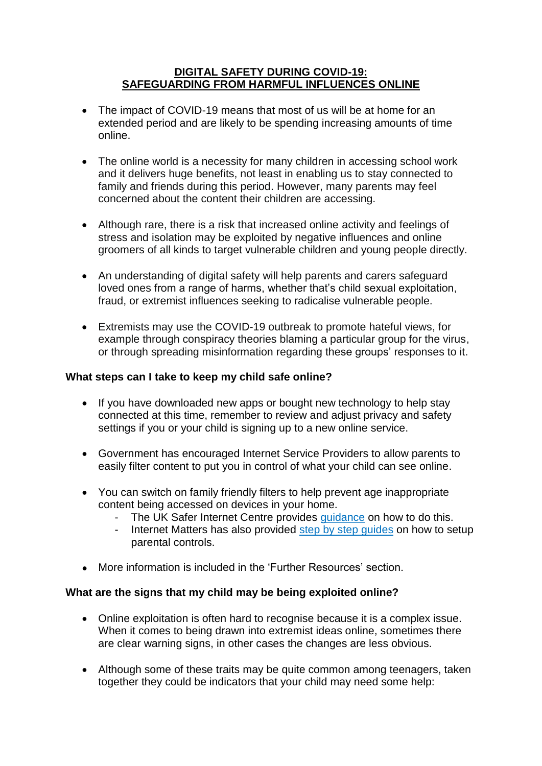### **DIGITAL SAFETY DURING COVID-19: SAFEGUARDING FROM HARMFUL INFLUENCES ONLINE**

- The impact of COVID-19 means that most of us will be at home for an extended period and are likely to be spending increasing amounts of time online.
- The online world is a necessity for many children in accessing school work and it delivers huge benefits, not least in enabling us to stay connected to family and friends during this period. However, many parents may feel concerned about the content their children are accessing.
- Although rare, there is a risk that increased online activity and feelings of stress and isolation may be exploited by negative influences and online groomers of all kinds to target vulnerable children and young people directly.
- An understanding of digital safety will help parents and carers safeguard loved ones from a range of harms, whether that's child sexual exploitation, fraud, or extremist influences seeking to radicalise vulnerable people.
- Extremists may use the COVID-19 outbreak to promote hateful views, for example through conspiracy theories blaming a particular group for the virus, or through spreading misinformation regarding these groups' responses to it.

# **What steps can I take to keep my child safe online?**

- If you have downloaded new apps or bought new technology to help stay connected at this time, remember to review and adjust privacy and safety settings if you or your child is signing up to a new online service.
- Government has encouraged Internet Service Providers to allow parents to easily filter content to put you in control of what your child can see online.
- You can switch on family friendly filters to help prevent age inappropriate content being accessed on devices in your home.
	- The UK Safer Internet Centre provides quidance on how to do this.
	- Internet Matters has also provided [step by step guides](https://www.internetmatters.org/parental-controls/) on how to setup parental controls.
- More information is included in the 'Further Resources' section.

### **What are the signs that my child may be being exploited online?**

- Online exploitation is often hard to recognise because it is a complex issue. When it comes to being drawn into extremist ideas online, sometimes there are clear warning signs, in other cases the changes are less obvious.
- Although some of these traits may be quite common among teenagers, taken together they could be indicators that your child may need some help: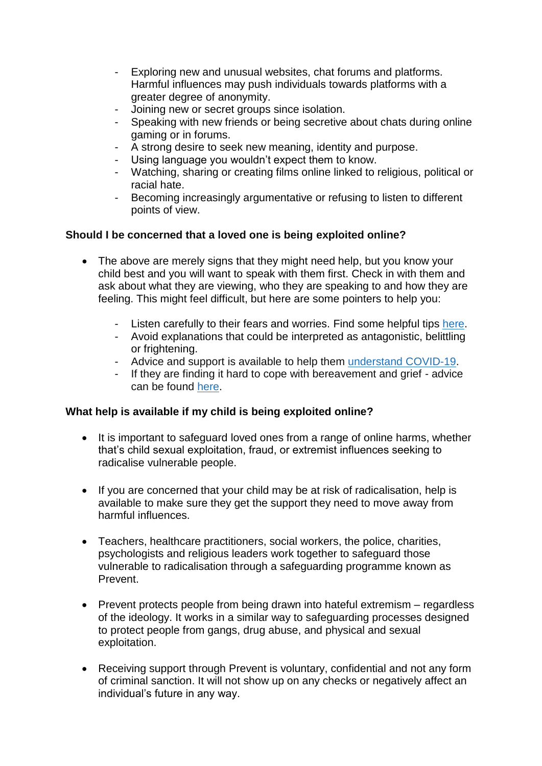- Exploring new and unusual websites, chat forums and platforms. Harmful influences may push individuals towards platforms with a greater degree of anonymity.
- Joining new or secret groups since isolation.
- Speaking with new friends or being secretive about chats during online gaming or in forums.
- A strong desire to seek new meaning, identity and purpose.
- Using language you wouldn't expect them to know.
- Watching, sharing or creating films online linked to religious, political or racial hate.
- Becoming increasingly argumentative or refusing to listen to different points of view.

# **Should I be concerned that a loved one is being exploited online?**

- The above are merely signs that they might need help, but you know your child best and you will want to speak with them first. Check in with them and ask about what they are viewing, who they are speaking to and how they are feeling. This might feel difficult, but here are some pointers to help you:
	- Listen carefully to their fears and worries. Find some helpful tips [here.](https://www.nhs.uk/oneyou/every-mind-matters/coronavirus-covid-19-anxiety-tips/)
	- Avoid explanations that could be interpreted as antagonistic, belittling or frightening.
	- Advice and support is available to help them [understand](https://www.childline.org.uk/info-advice/your-feelings/anxiety-stress-panic/worries-about-the-world/coronavirus/) COVID-19.
	- If they are finding it hard to cope with bereavement and grief advice can be found [here.](https://www.nhs.uk/conditions/stress-anxiety-depression/coping-with-bereavement/)

### **What help is available if my child is being exploited online?**

- It is important to safeguard loved ones from a range of online harms, whether that's child sexual exploitation, fraud, or extremist influences seeking to radicalise vulnerable people.
- If you are concerned that your child may be at risk of radicalisation, help is available to make sure they get the support they need to move away from harmful influences.
- Teachers, healthcare practitioners, social workers, the police, charities, psychologists and religious leaders work together to safeguard those vulnerable to radicalisation through a safeguarding programme known as Prevent.
- Prevent protects people from being drawn into hateful extremism regardless of the ideology. It works in a similar way to safeguarding processes designed to protect people from gangs, drug abuse, and physical and sexual exploitation.
- Receiving support through Prevent is voluntary, confidential and not any form of criminal sanction. It will not show up on any checks or negatively affect an individual's future in any way.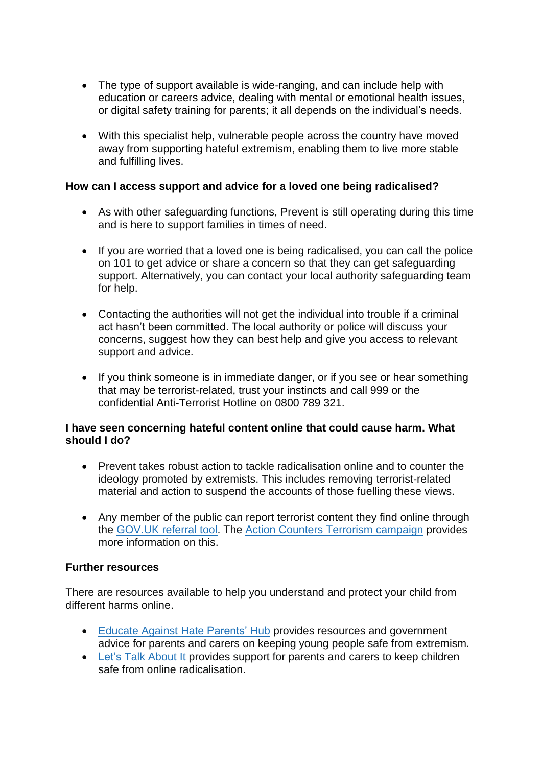- The type of support available is wide-ranging, and can include help with education or careers advice, dealing with mental or emotional health issues, or digital safety training for parents; it all depends on the individual's needs.
- With this specialist help, vulnerable people across the country have moved away from supporting hateful extremism, enabling them to live more stable and fulfilling lives.

# **How can I access support and advice for a loved one being radicalised?**

- As with other safeguarding functions, Prevent is still operating during this time and is here to support families in times of need.
- If you are worried that a loved one is being radicalised, you can call the police on 101 to get advice or share a concern so that they can get safeguarding support. Alternatively, you can contact your local authority safeguarding team for help.
- Contacting the authorities will not get the individual into trouble if a criminal act hasn't been committed. The local authority or police will discuss your concerns, suggest how they can best help and give you access to relevant support and advice.
- If you think someone is in immediate danger, or if you see or hear something that may be terrorist-related, trust your instincts and call 999 or the confidential Anti-Terrorist Hotline on 0800 789 321.

### **I have seen concerning hateful content online that could cause harm. What should I do?**

- Prevent takes robust action to tackle radicalisation online and to counter the ideology promoted by extremists. This includes removing terrorist-related material and action to suspend the accounts of those fuelling these views.
- Any member of the public can report terrorist content they find online through the [GOV.UK](https://www.gov.uk/report-terrorism) referral tool. The Action Counters Terrorism [campaign](https://act.campaign.gov.uk/) provides more information on this.

#### **Further resources**

There are resources available to help you understand and protect your child from different harms online.

- Educate Against Hate [Parents'](https://educateagainsthate.com/parents/) Hub provides resources and government advice for parents and carers on keeping young people safe from extremism.
- Let's Talk [About](https://www.ltai.info/staying-safe-online/) It provides support for parents and carers to keep children safe from online radicalisation.